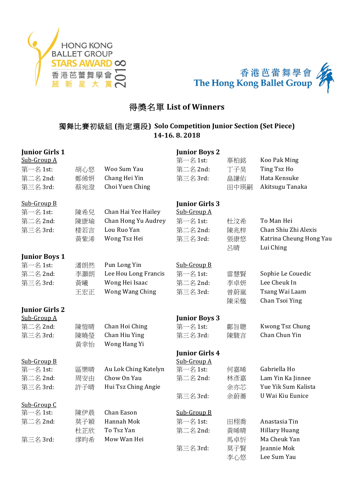



# **得獎名單 List of Winners**

# 獨舞比賽初級組 **(**指定選段**) Solo Competition Junior Section (Set Piece) 14-16. 8. 2018**

| <b>Junior Girls 1</b> |     |                      | <b>Junior Boys 2</b>  |           |                                      |
|-----------------------|-----|----------------------|-----------------------|-----------|--------------------------------------|
| Sub-Group A           |     |                      | 第一名 1st:              | 辜柏銘       | Koo Pak Ming                         |
| 第一名 1st:              | 胡心悠 | Woo Sum Yau          | 第二名 2nd:              | 丁子昊       | Ting Tsz Ho                          |
| 第二名 2nd:              | 鄭俙妍 | Chang Hei Yin        | 第三名 3rd:              | 畠謙佑       | Hata Kensuke                         |
| 第三名 3rd:              | 蔡宛澄 | Choi Yuen Ching      |                       | 田中瑛嗣      | Akitsugu Tanaka                      |
| Sub-Group B           |     |                      | <b>Junior Girls 3</b> |           |                                      |
| 第一名 1st:              | 陳希兒 | Chan Hai Yee Hailey  | Sub-Group A           |           |                                      |
| 第二名 2nd:              | 陳康瑜 | Chan Hong Yu Audrey  | 第一名 1st:              | 杜汶希       | To Man Hei                           |
| 第三名 3rd:              | 楼若言 | Lou Ruo Yan          | 第二名 2nd:              | 陳兆梓       | Chan Shiu Zhi Alexis                 |
|                       | 黃紫浠 | Wong Tsz Hei         | 第三名 3rd:              | 張康悠<br>呂晴 | Katrina Cheung Hong Yau<br>Lui Ching |
| <b>Junior Boys 1</b>  |     |                      |                       |           |                                      |
| 第一名 1st:              | 潘朗然 | Pun Long Yin         | Sub-Group B           |           |                                      |
| 第二名 2nd:              | 李灝朗 | Lee Hou Long Francis | 第一名 1st:              | 雷慧賢       | Sophie Le Couedic                    |
| 第三名 3rd:              | 黃曦  | Wong Hei Isaac       | 第二名 2nd:              | 李卓妍       | Lee Cheuk In                         |
|                       | 王宏正 | Wong Wang Ching      | 第三名 3rd:              | 曾蔚嵐       | Tsang Wai Laam                       |
|                       |     |                      |                       | 陳采楹       | Chan Tsoi Ying                       |
| <b>Junior Girls 2</b> |     |                      |                       |           |                                      |
| Sub-Group A           |     |                      | <b>Junior Boys 3</b>  |           |                                      |
| 第二名 2nd:              | 陳愷晴 | Chan Hoi Ching       | 第一名 1st:              | 鄺旨聰       | Kwong Tsz Chung                      |
| 第三名 3rd:              | 陳曉瑩 | Chan Hiu Ying        | 第三名 3rd:              | 陳駿言       | Chan Chun Yin                        |
|                       | 黃幸怡 | Wong Hang Yi         |                       |           |                                      |
|                       |     |                      | <b>Junior Girls 4</b> |           |                                      |
| Sub-Group B           |     |                      | Sub-Group A           |           |                                      |
| 第一名 1st:              | 區樂晴 | Au Lok Ching Katelyn | 第一名 1st:              | 何嘉晞       | Gabriella Ho                         |
| 第二名 2nd:              | 周安由 | Chow On Yau          | 第二名 2nd:              | 林彥嘉       | Lam Yin Ka Jinnee                    |
| 第三名 3rd:              | 許子晴 | Hui Tsz Ching Angie  |                       | 余亦芯       | Yue Yik Sum Kalista                  |
|                       |     |                      | 第三名 3rd:              | 余蔚蕎       | U Wai Kiu Eunice                     |
| Sub-Group C           |     |                      |                       |           |                                      |
| 第一名 1st:              | 陳伊晨 | Chan Eason           | Sub-Group B           |           |                                      |
| 第二名 2nd:              | 莫子穎 | Hannah Mok           | 第一名 1st:              | 田栩喬       | Anastasia Tin                        |
|                       | 杜芷欣 | To Tsz Yan           | 第二名 2nd:              | 黃晞晴       | <b>Hillary Huang</b>                 |
| 第三名 3rd:              | 缪昀希 | Mow Wan Hei          |                       | 馬卓忻       | Ma Cheuk Yan                         |
|                       |     |                      | 第三名 3rd:              | 莫子賢       | Jeannie Mok                          |
|                       |     |                      |                       | 李心悠       | Lee Sum Yau                          |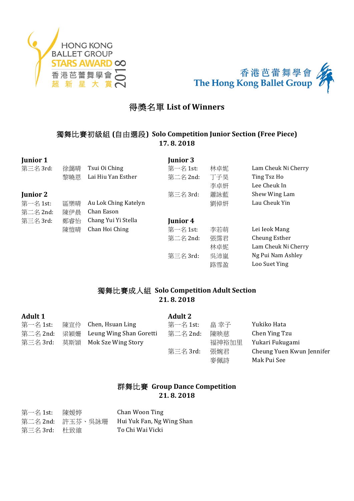



# **得獎名單 List of Winners**

# 獨舞比賽初級組 **(**自由選段**) Solo Competition Junior Section (Free Piece) 17. 8. 2018**

| <b>Junior 1</b> |     |                      | <b>Junior 3</b> |     |                     |
|-----------------|-----|----------------------|-----------------|-----|---------------------|
| 第三名 3rd:        | 徐藹晴 | Tsui Oi Ching        | 第一名 1st:        | 林卓妮 | Lam Cheuk Ni Cherry |
|                 | 黎曉恩 | Lai Hiu Yan Esther   | 第二名 2nd:        | 丁子昊 | Ting Tsz Ho         |
|                 |     |                      |                 | 李卓妍 | Lee Cheuk In        |
| <b>Junior 2</b> |     |                      | 第三名 3rd:        | 蕭詠藍 | Shew Wing Lam       |
| 第一名 1st:        | 區樂晴 | Au Lok Ching Katelyn |                 | 劉倬妍 | Lau Cheuk Yin       |
| 第二名 2nd:        | 陳伊晨 | Chan Eason           |                 |     |                     |
| 第三名 3rd:        | 鄭睿怡 | Chang Yui Yi Stella  | Junior 4        |     |                     |
|                 | 陳愷晴 | Chan Hoi Ching       | 第一名 1st:        | 李若萌 | Lei Ieok Mang       |
|                 |     |                      | 第二名 2nd:        | 張霈君 | Cheung Esther       |
|                 |     |                      |                 | 林卓妮 | Lam Cheuk Ni Cherry |
|                 |     |                      | 第三名 3rd:        | 吳沛嵐 | Ng Pui Nam Ashley   |
|                 |     |                      |                 | 路雪盈 | Loo Suet Ying       |

#### 獨舞比賽成人組 **Solo Competition Adult Section 21. 8. 2018**

| <b>Adult 1</b> |     |                         | <b>Adult 2</b> |       |                           |
|----------------|-----|-------------------------|----------------|-------|---------------------------|
| 第一名 1st:       | 陳宣伶 | Chen, Hsuan Ling        | 第一名 1st:       | 畠 幸子  | Yukiko Hata               |
| 第二名 2nd:       | 梁穎姍 | Leung Wing Shan Goretti | 第二名 2nd:       | 陳映慈   | Chen Ying Tzu             |
| 第三名 3rd:       | 莫斯頴 | Mok Sze Wing Story      |                | 福神裕加里 | Yukari Fukugami           |
|                |     |                         | 第三名 3rd:       | 張婉君   | Cheung Yuen Kwun Jennifer |
|                |     |                         |                | 麥佩詩   | Mak Pui See               |

#### 群舞比賽 Group Dance Competition **21. 8. 2018**

| 第一名 1st: | 陳媛婷              | Chan Woon Ting            |
|----------|------------------|---------------------------|
|          | 第二名 2nd: 許玉芬、吳詠珊 | Hui Yuk Fan, Ng Wing Shan |
| 第三名 3rd: | 杜致維              | To Chi Wai Vicki          |